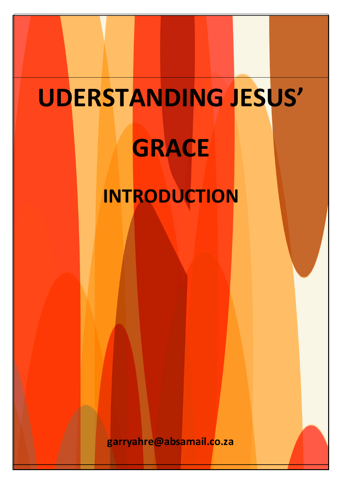# **UDERSTANDING JESUS' GRACE INTRODUCTION**

garryahre@absamail.co.za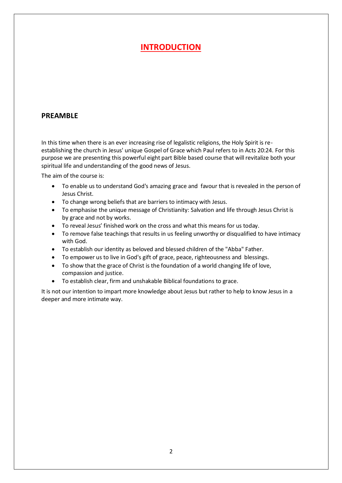## **INTRODUCTION**

#### **PREAMBLE**

In this time when there is an ever increasing rise of legalistic religions, the Holy Spirit is reestablishing the church in Jesus' unique Gospel of Grace which Paul refers to in Acts 20:24. For this purpose we are presenting this powerful eight part Bible based course that will revitalize both your spiritual life and understanding of the good news of Jesus.

The aim of the course is:

- To enable us to understand God's amazing grace and favour that is revealed in the person of Jesus Christ.
- To change wrong beliefs that are barriers to intimacy with Jesus.
- To emphasise the unique message of Christianity: Salvation and life through Jesus Christ is by grace and not by works.
- To reveal Jesus' finished work on the cross and what this means for us today.
- To remove false teachings that results in us feeling unworthy or disqualified to have intimacy with God.
- To establish our identity as beloved and blessed children of the "Abba" Father.
- To empower us to live in God's gift of grace, peace, righteousness and blessings.
- To show that the grace of Christ is the foundation of a world changing life of love, compassion and justice.
- To establish clear, firm and unshakable Biblical foundations to grace.

It is not our intention to impart more knowledge about Jesus but rather to help to know Jesus in a deeper and more intimate way.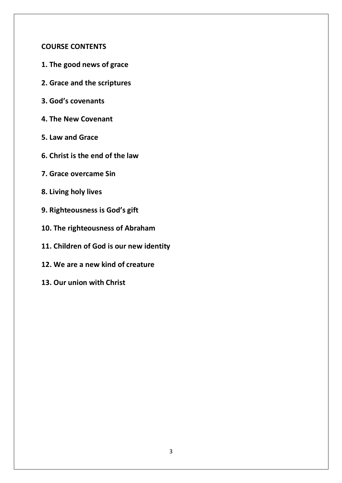### **COURSE CONTENTS**

- **1. The good news of grace**
- **2. Grace and the scriptures**
- **3. God's covenants**
- **4. The New Covenant**
- **5. Law and Grace**
- **6. Christ is the end of the law**
- **7. Grace overcame Sin**
- **8. Living holy lives**
- **9. Righteousness is God's gift**
- **10. The righteousness of Abraham**
- **11. Children of God is our new identity**
- **12. We are a new kind of creature**
- **13. Our union with Christ**